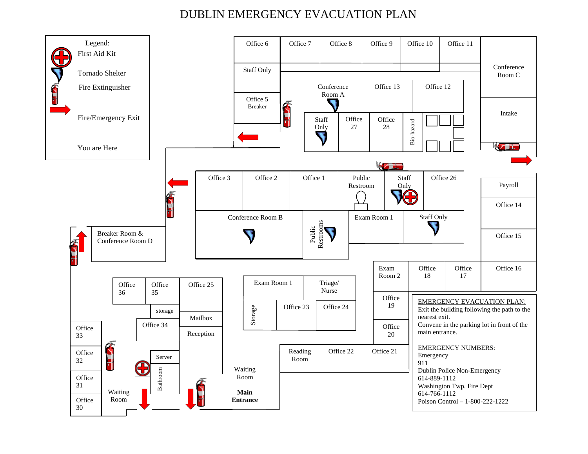## DUBLIN EMERGENCY EVACUATION PLAN

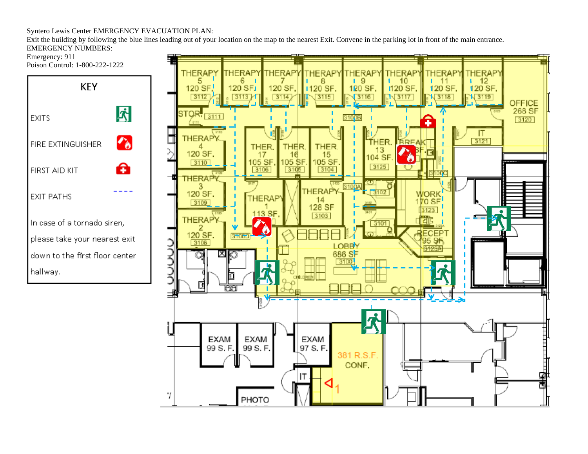## Syntero Lewis Center EMERGENCY EVACUATION PLAN:

Exit the building by following the blue lines leading out of your location on the map to the nearest Exit. Convene in the parking lot in front of the main entrance. EMERGENCY NUMBERS:

Emergency: 911

Poison Control: 1-800-222-1222



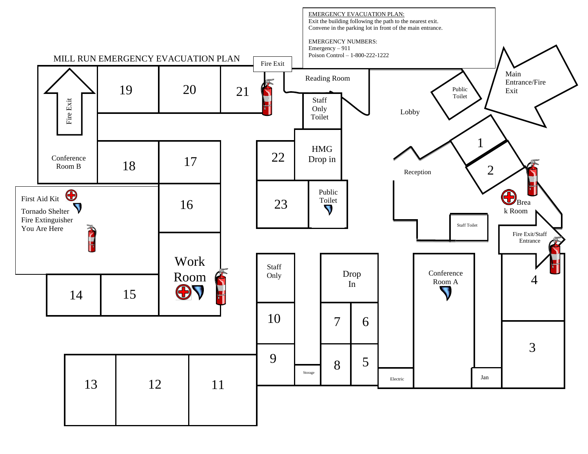